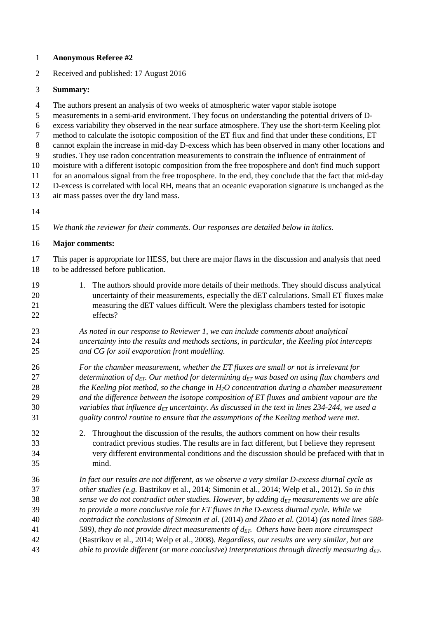## 1 **Anonymous Referee #2**

2 Received and published: 17 August 2016

## 3 **Summary:**

- 4 The authors present an analysis of two weeks of atmospheric water vapor stable isotope
- 5 measurements in a semi-arid environment. They focus on understanding the potential drivers of D-
- 6 excess variability they observed in the near surface atmosphere. They use the short-term Keeling plot
- 7 method to calculate the isotopic composition of the ET flux and find that under these conditions, ET
- 8 cannot explain the increase in mid-day D-excess which has been observed in many other locations and
- 9 studies. They use radon concentration measurements to constrain the influence of entrainment of 10 moisture with a different isotopic composition from the free troposphere and don't find much support
- 11 for an anomalous signal from the free troposphere. In the end, they conclude that the fact that mid-day
- 12 D-excess is correlated with local RH, means that an oceanic evaporation signature is unchanged as the
- 13 air mass passes over the dry land mass.
- 14
- 15 *We thank the reviewer for their comments. Our responses are detailed below in italics.*

# 16 **Major comments:**

- 17 This paper is appropriate for HESS, but there are major flaws in the discussion and analysis that need 18 to be addressed before publication.
- 19 1. The authors should provide more details of their methods. They should discuss analytical 20 uncertainty of their measurements, especially the dET calculations. Small ET fluxes make 21 measuring the dET values difficult. Were the plexiglass chambers tested for isotopic 22 effects?
- 23 *As noted in our response to Reviewer 1, we can include comments about analytical*  24 *uncertainty into the results and methods sections, in particular, the Keeling plot intercepts*  25 *and CG for soil evaporation front modelling.*
- 26 *For the chamber measurement, whether the ET fluxes are small or not is irrelevant for*  27 *determination of dET. Our method for determining dET was based on using flux chambers and*  28 *the Keeling plot method, so the change in H2O concentration during a chamber measurement*  29 *and the difference between the isotope composition of ET fluxes and ambient vapour are the*  30 *variables that influence*  $d_{ET}$  *uncertainty. As discussed in the text in lines 234-244, we used a* 31 *quality control routine to ensure that the assumptions of the Keeling method were met.*
- 32 2. Throughout the discussion of the results, the authors comment on how their results 33 contradict previous studies. The results are in fact different, but I believe they represent 34 very different environmental conditions and the discussion should be prefaced with that in 35 mind.
- 36 *In fact our results are not different, as we observe a very similar D-excess diurnal cycle as*  37 *other studies (e.g.* Bastrikov et al., 2014; Simonin et al., 2014; Welp et al., 2012)*. So in this*  38 *sense we do not contradict other studies. However, by adding*  $d_{ET}$  *measurements we are able* 39 *to provide a more conclusive role for ET fluxes in the D-excess diurnal cycle. While we*  40 *contradict the conclusions of Simonin et al.* (2014) *and Zhao et al.* (2014) *(as noted lines 588-* 41 *589), they do not provide direct measurements of dET. Others have been more circumspect*  42 (Bastrikov et al., 2014; Welp et al., 2008)*. Regardless, our results are very similar, but are* 43 *able to provide different (or more conclusive) interpretations through directly measuring dET.*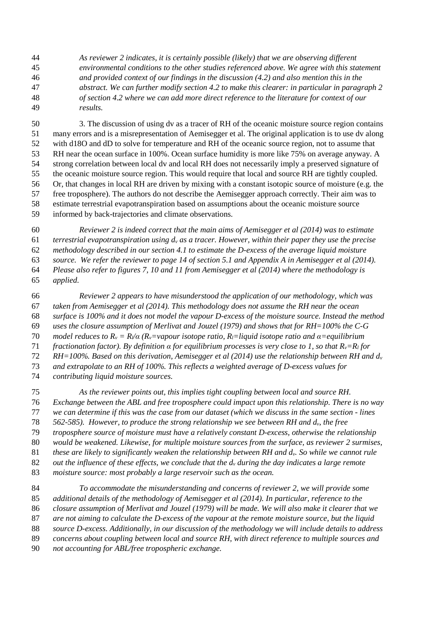*As reviewer 2 indicates, it is certainly possible (likely) that we are observing different environmental conditions to the other studies referenced above. We agree with this statement and provided context of our findings in the discussion (4.2) and also mention this in the abstract. We can further modify section 4.2 to make this clearer: in particular in paragraph 2 of section 4.2 where we can add more direct reference to the literature for context of our results.* 

50 3. The discussion of using dv as a tracer of RH of the oceanic moisture source region contains 51 many errors and is a misrepresentation of Aemisegger et al. The original application is to use dv along 52 with d18O and dD to solve for temperature and RH of the oceanic source region, not to assume that 53 RH near the ocean surface in 100%. Ocean surface humidity is more like 75% on average anyway. A 54 strong correlation between local dv and local RH does not necessarily imply a preserved signature of 55 the oceanic moisture source region. This would require that local and source RH are tightly coupled. 56 Or, that changes in local RH are driven by mixing with a constant isotopic source of moisture (e.g. the 57 free troposphere). The authors do not describe the Aemisegger approach correctly. Their aim was to 58 estimate terrestrial evapotranspiration based on assumptions about the oceanic moisture source 59 informed by back-trajectories and climate observations.

*Reviewer 2 is indeed correct that the main aims of Aemisegger et al (2014) was to estimate terrestrial evapotranspiration using dv as a tracer. However, within their paper they use the precise methodology described in our section 4.1 to estimate the D-excess of the average liquid moisture source. We refer the reviewer to page 14 of section 5.1 and Appendix A in Aemisegger et al (2014). Please also refer to figures 7, 10 and 11 from Aemisegger et al (2014) where the methodology is applied.* 

*Reviewer 2 appears to have misunderstood the application of our methodology, which was taken from Aemisegger et al (2014). This methodology does not assume the RH near the ocean surface is 100% and it does not model the vapour D-excess of the moisture source. Instead the method uses the closure assumption of Merlivat and Jouzel (1979) and shows that for RH=100% the C-G model reduces to Rv = Rl/α (Rv=vapour isotope ratio, Rl=liquid isotope ratio and α=equilibrium fractionation factor). By definition α for equilibrium processes is very close to 1, so that Rv=Rl for RH=100%. Based on this derivation, Aemisegger et al (2014) use the relationship between RH and d<sup>v</sup> and extrapolate to an RH of 100%. This reflects a weighted average of D-excess values for contributing liquid moisture sources.* 

*As the reviewer points out, this implies tight coupling between local and source RH. Exchange between the ABL and free troposphere could impact upon this relationship. There is no way we can determine if this was the case from our dataset (which we discuss in the same section - lines 562-585). However, to produce the strong relationship we see between RH and dv, the free troposphere source of moisture must have a relatively constant D-excess, otherwise the relationship would be weakened. Likewise, for multiple moisture sources from the surface, as reviewer 2 surmises, these are likely to significantly weaken the relationship between RH and dv. So while we cannot rule out the influence of these effects, we conclude that the dv during the day indicates a large remote moisture source: most probably a large reservoir such as the ocean.* 

*To accommodate the misunderstanding and concerns of reviewer 2, we will provide some additional details of the methodology of Aemisegger et al (2014). In particular, reference to the closure assumption of Merlivat and Jouzel (1979) will be made. We will also make it clearer that we are not aiming to calculate the D-excess of the vapour at the remote moisture source, but the liquid source D-excess. Additionally, in our discussion of the methodology we will include details to address concerns about coupling between local and source RH, with direct reference to multiple sources and not accounting for ABL/free tropospheric exchange.*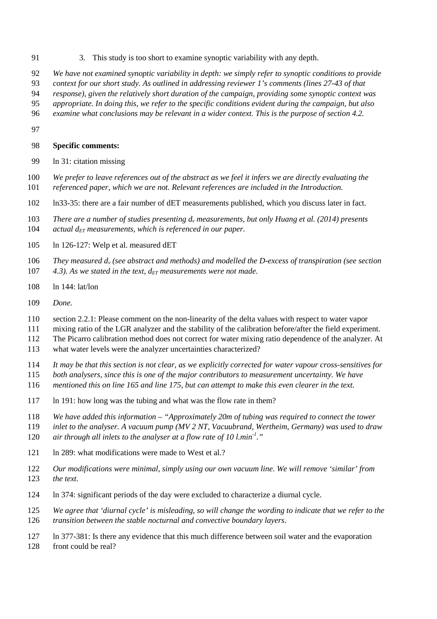- 91 3. This study is too short to examine synoptic variability with any depth.
- 92 *We have not examined synoptic variability in depth: we simply refer to synoptic conditions to provide*
- 93 *context for our short study. As outlined in addressing reviewer 1's comments (lines 27-43 of that*
- 94 *response), given the relatively short duration of the campaign, providing some synoptic context was*
- 95 *appropriate. In doing this, we refer to the specific conditions evident during the campaign, but also*
- 96 *examine what conclusions may be relevant in a wider context. This is the purpose of section 4.2.*
- 97

### 98 **Specific comments:**

- 99 ln 31: citation missing
- 100 *We prefer to leave references out of the abstract as we feel it infers we are directly evaluating the*  101 *referenced paper, which we are not. Relevant references are included in the Introduction.*
- 102 ln33-35: there are a fair number of dET measurements published, which you discuss later in fact.
- 103 *There are a number of studies presenting dv measurements, but only Huang et al. (2014) presents*  104  $\alpha$  *actual d<sub>ET</sub>* measurements, which is referenced in our paper.
- 105 ln 126-127: Welp et al. measured dET
- 106 *They measured dv (see abstract and methods) and modelled the D-excess of transpiration (see section*  107 *4.3). As we stated in the text, dET measurements were not made.*
- 108 ln 144: lat/lon
- 109 *Done.*
- 110 section 2.2.1: Please comment on the non-linearity of the delta values with respect to water vapor
- 111 mixing ratio of the LGR analyzer and the stability of the calibration before/after the field experiment.
- 112 The Picarro calibration method does not correct for water mixing ratio dependence of the analyzer. At
- 113 what water levels were the analyzer uncertainties characterized?
- 114 *It may be that this section is not clear, as we explicitly corrected for water vapour cross-sensitives for*
- 115 *both analysers, since this is one of the major contributors to measurement uncertainty. We have*
- 116 *mentioned this on line 165 and line 175, but can attempt to make this even clearer in the text.*
- 117 ln 191: how long was the tubing and what was the flow rate in them?
- 118 *We have added this information "Approximately 20m of tubing was required to connect the tower*
- 119 *inlet to the analyser. A vacuum pump (MV 2 NT, Vacuubrand, Wertheim, Germany) was used to draw*
- 120 *air through all inlets to the analyser at a flow rate of 10 l.min<sup>-1</sup>."*
- 121 ln 289: what modifications were made to West et al.?
- 122 *Our modifications were minimal, simply using our own vacuum line. We will remove 'similar' from*  123 *the text.*
- 124 ln 374: significant periods of the day were excluded to characterize a diurnal cycle.
- 125 *We agree that 'diurnal cycle' is misleading, so will change the wording to indicate that we refer to the*
- 126 *transition between the stable nocturnal and convective boundary layers.*
- 127 ln 377-381: Is there any evidence that this much difference between soil water and the evaporation
- 128 front could be real?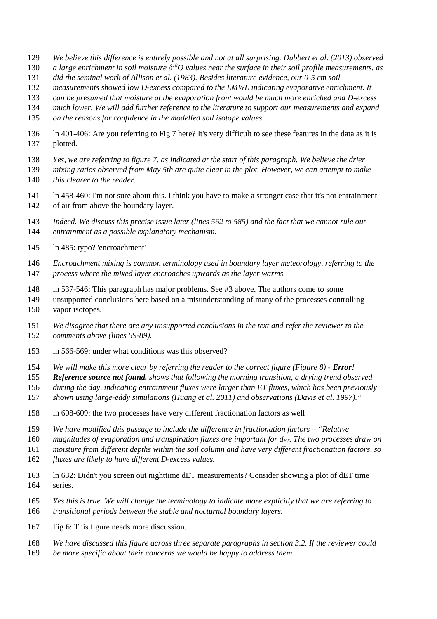- *We believe this difference is entirely possible and not at all surprising. Dubbert et al. (2013) observed*
- 130 *a large enrichment in soil moisture*  $\delta^{l8}O$  values near the surface in their soil profile measurements, as
- *did the seminal work of Allison et al. (1983). Besides literature evidence, our 0-5 cm soil*
- *measurements showed low D-excess compared to the LMWL indicating evaporative enrichment. It*
- *can be presumed that moisture at the evaporation front would be much more enriched and D-excess*
- *much lower. We will add further reference to the literature to support our measurements and expand*
- *on the reasons for confidence in the modelled soil isotope values.*
- 136 ln 401-406: Are you referring to Fig 7 here? It's very difficult to see these features in the data as it is 137 plotted.
- *Yes, we are referring to figure 7, as indicated at the start of this paragraph. We believe the drier*
- *mixing ratios observed from May 5th are quite clear in the plot. However, we can attempt to make this clearer to the reader.*
- 141 ln 458-460: I'm not sure about this. I think you have to make a stronger case that it's not entrainment 142 of air from above the boundary layer.
- *Indeed. We discuss this precise issue later (lines 562 to 585) and the fact that we cannot rule out entrainment as a possible explanatory mechanism.*
- 145 ln 485: typo? 'encroachment'
- *Encroachment mixing is common terminology used in boundary layer meteorology, referring to the process where the mixed layer encroaches upwards as the layer warms.*
- 148 ln 537-546: This paragraph has major problems. See #3 above. The authors come to some
- 149 unsupported conclusions here based on a misunderstanding of many of the processes controlling 150 vapor isotopes.
- *We disagree that there are any unsupported conclusions in the text and refer the reviewer to the comments above (lines 59-89).*
- 153 ln 566-569: under what conditions was this observed?
- 154 *We will make this more clear by referring the reader to the correct figure (Figure 8) <i>Error!*
- *Reference source not found. shows that following the morning transition, a drying trend observed*
- *during the day, indicating entrainment fluxes were larger than ET fluxes, which has been previously*
- *shown using large-eddy simulations (Huang et al. 2011) and observations (Davis et al. 1997)."*
- 158 ln 608-609: the two processes have very different fractionation factors as well
- *We have modified this passage to include the difference in fractionation factors "Relative*
- *magnitudes of evaporation and transpiration fluxes are important for dET. The two processes draw on*
- *moisture from different depths within the soil column and have very different fractionation factors, so*
- *fluxes are likely to have different D-excess values.*
- 163 ln 632: Didn't you screen out nighttime dET measurements? Consider showing a plot of dET time 164 series.
- *Yes this is true. We will change the terminology to indicate more explicitly that we are referring to transitional periods between the stable and nocturnal boundary layers.*
- 167 Fig 6: This figure needs more discussion.
- *We have discussed this figure across three separate paragraphs in section 3.2. If the reviewer could*
- *be more specific about their concerns we would be happy to address them.*